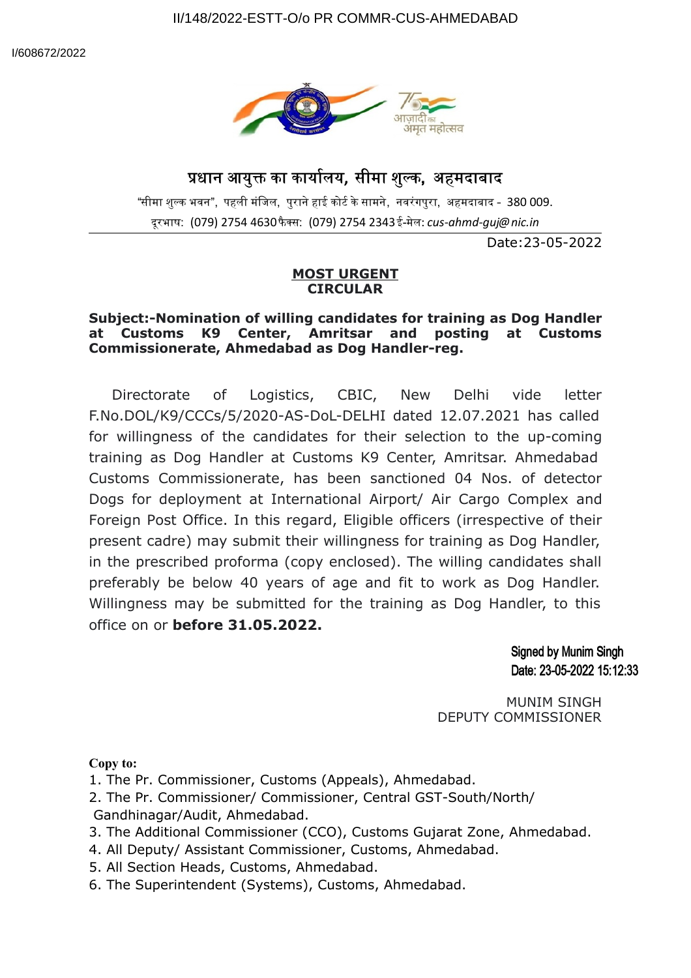

## धान आयु का कायालय**,** सीमा शुक**,** अहमदाबाद

"सीमा शुल्क भवन", पहली मंजिल, पुराने हाई कोर्ट के सामने, नवरंगपुरा, अहमदाबाद - 380 009. दूरभाष: (079) 2754 4630 फैक्स: (079) 2754 2343 ई-मेल: *cus-ahmd-guj@nic.in* 

Date:23-05-2022

## **MOST URGENT CIRCULAR**

## **Subject:-Nomination of willing candidates for training as Dog Handler at Customs K9 Center, Amritsar and posting at Customs Commissionerate, Ahmedabad as Dog Handler-reg.**

Directorate of Logistics, CBIC, New Delhi vide letter F.No.DOL/K9/CCCs/5/2020-AS-DoL-DELHI dated 12.07.2021 has called for willingness of the candidates for their selection to the up-coming training as Dog Handler at Customs K9 Center, Amritsar. Ahmedabad Customs Commissionerate, has been sanctioned 04 Nos. of detector Dogs for deployment at International Airport/ Air Cargo Complex and Foreign Post Office. In this regard, Eligible officers (irrespective of their present cadre) may submit their willingness for training as Dog Handler, in the prescribed proforma (copy enclosed). The willing candidates shall preferably be below 40 years of age and fit to work as Dog Handler. Willingness may be submitted for the training as Dog Handler, to this office on or **before 31.05.2022.**

> **Signed by Munim Singh** Date: 23-05-2022 15:12:33

MUNIM SINGH DEPUTY COMMISSIONER

**Copy to:**

1. The Pr. Commissioner, Customs (Appeals), Ahmedabad.

- 2. The Pr. Commissioner/ Commissioner, Central GST-South/North/ Gandhinagar/Audit, Ahmedabad.
- 3. The Additional Commissioner (CCO), Customs Gujarat Zone, Ahmedabad.
- 4. All Deputy/ Assistant Commissioner, Customs, Ahmedabad.
- 5. All Section Heads, Customs, Ahmedabad.
- 6. The Superintendent (Systems), Customs, Ahmedabad.